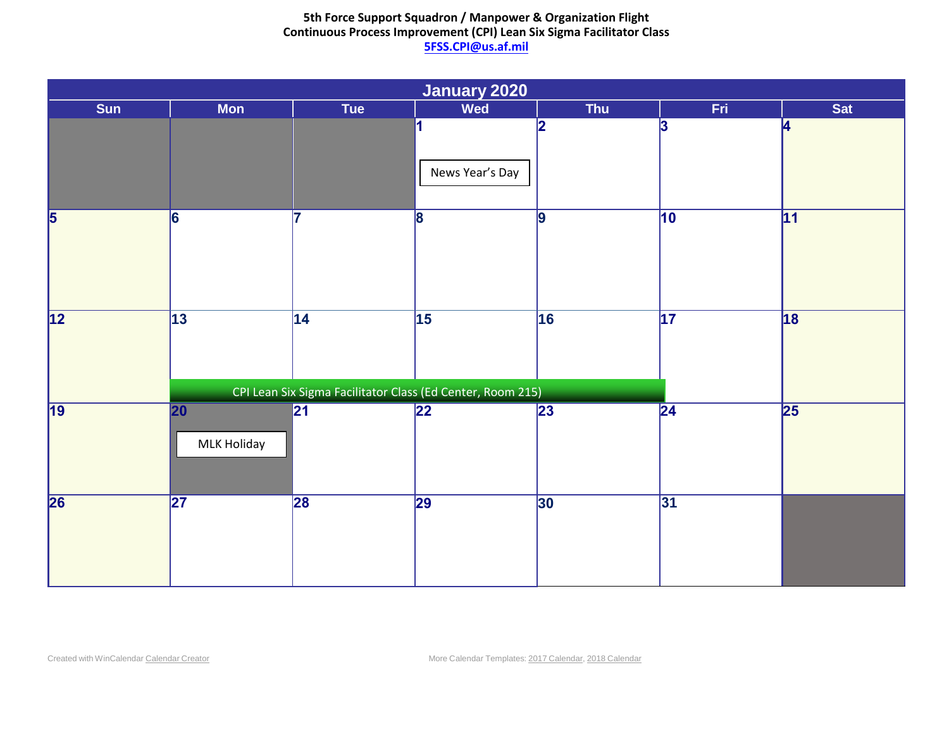|                                |                                       |                                                            | January 2020         |                 |                 |                 |
|--------------------------------|---------------------------------------|------------------------------------------------------------|----------------------|-----------------|-----------------|-----------------|
| Sun                            | <b>Mon</b>                            | Tue                                                        | Wed                  | Thu             | Fri             | Sat             |
|                                |                                       |                                                            | 1<br>News Year's Day | 2               | 3               | 4               |
| $\overline{5}$                 | $\overline{6}$                        | 17                                                         | $\overline{8}$       | $\overline{9}$  | $\overline{10}$ | $\overline{11}$ |
| $\overline{12}$<br>$\sqrt{13}$ |                                       | $\overline{14}$                                            | $\overline{15}$      | 16              | $\overline{17}$ | 18              |
|                                |                                       | CPI Lean Six Sigma Facilitator Class (Ed Center, Room 215) |                      |                 |                 |                 |
| 19                             | $\overline{20}$<br><b>MLK Holiday</b> | $\overline{21}$                                            | $\overline{22}$      | $\overline{23}$ | $\overline{24}$ | 25              |
| 26                             | $\overline{27}$                       | 28                                                         | $\overline{29}$      | 30              | $\overline{31}$ |                 |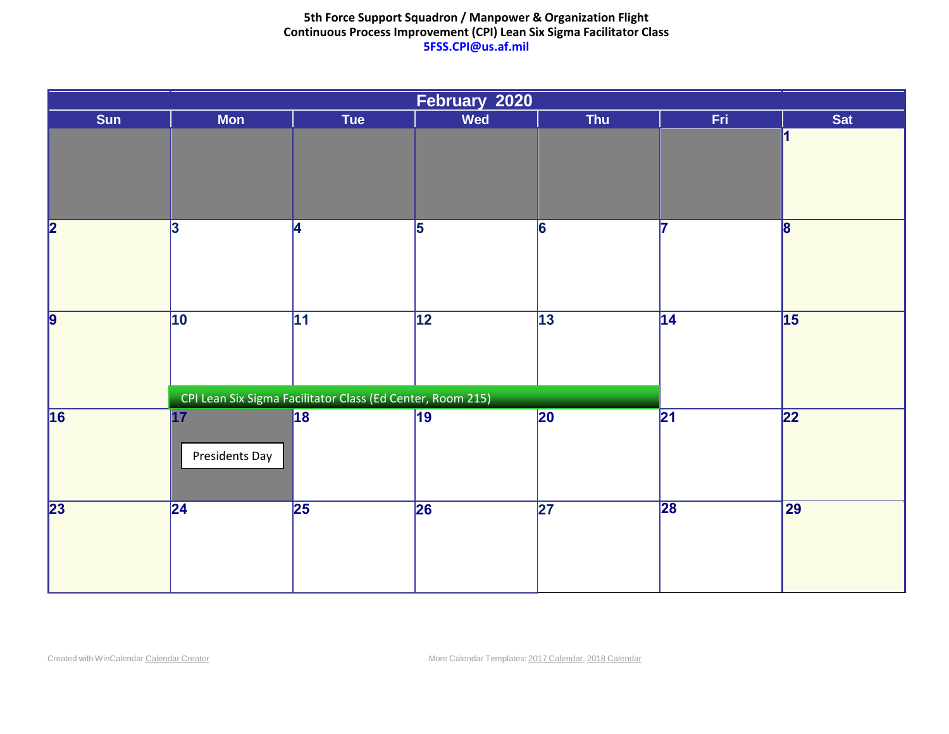| February 2020           |                       |                                                                               |                 |                 |                   |                 |  |  |
|-------------------------|-----------------------|-------------------------------------------------------------------------------|-----------------|-----------------|-------------------|-----------------|--|--|
| Sun                     | <b>Mon</b>            | Tue                                                                           | <b>Wed</b>      | <b>Thu</b>      | Fri               | Sat             |  |  |
|                         |                       |                                                                               |                 |                 |                   | 1               |  |  |
| $\overline{\mathbf{2}}$ | 3                     | <b>4</b>                                                                      | 5               | 6               | 17                | $\mathbf{8}$    |  |  |
| $\overline{9}$          | 10                    | $\overline{11}$<br>CPI Lean Six Sigma Facilitator Class (Ed Center, Room 215) | $\overline{12}$ | $\overline{13}$ | 14 <br>Family Day | $\sqrt{15}$     |  |  |
| 16                      | 17 <br>Presidents Day | 18                                                                            | $\overline{19}$ | $\overline{20}$ | $\overline{21}$   | $\overline{22}$ |  |  |
| $\overline{23}$         | $\overline{24}$       | $\overline{25}$                                                               | $\overline{26}$ | $\overline{27}$ | 28                | $\overline{29}$ |  |  |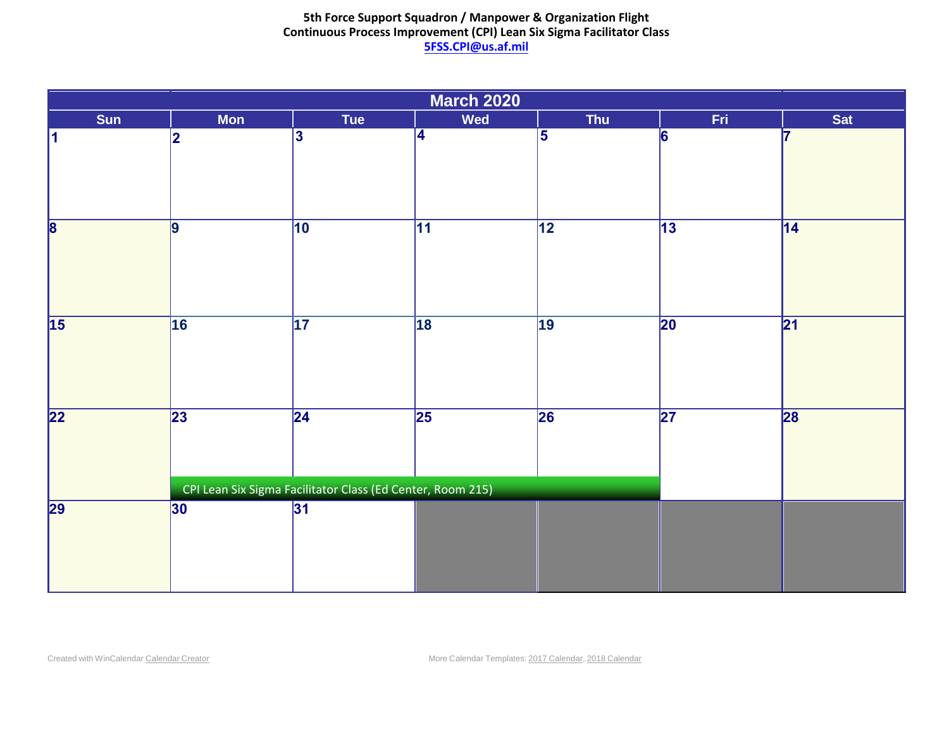|                         | <b>March 2020</b> |                                                                               |                 |                         |                 |                 |  |  |  |
|-------------------------|-------------------|-------------------------------------------------------------------------------|-----------------|-------------------------|-----------------|-----------------|--|--|--|
| Sun                     | <b>Mon</b>        | Tue                                                                           | Wed             | Thu                     | Fri             | Sat             |  |  |  |
| 11                      | 2                 | $\overline{\mathbf{3}}$                                                       | 4               | $\overline{\mathbf{5}}$ | 6               |                 |  |  |  |
| $\overline{\mathbf{8}}$ | $\overline{9}$    | $\overline{10}$                                                               | $\overline{11}$ | $\overline{12}$         | $\overline{13}$ | $\overline{14}$ |  |  |  |
| $\overline{15}$         | 16                | $\overline{17}$                                                               | 18              | $\overline{19}$         | $\overline{20}$ | $\overline{21}$ |  |  |  |
| $\overline{22}$         | $\overline{23}$   | $\overline{24}$<br>CPI Lean Six Sigma Facilitator Class (Ed Center, Room 215) | $\overline{25}$ | $\overline{26}$         | $\overline{27}$ | 28              |  |  |  |
| 29                      | 30                | 31                                                                            |                 |                         |                 |                 |  |  |  |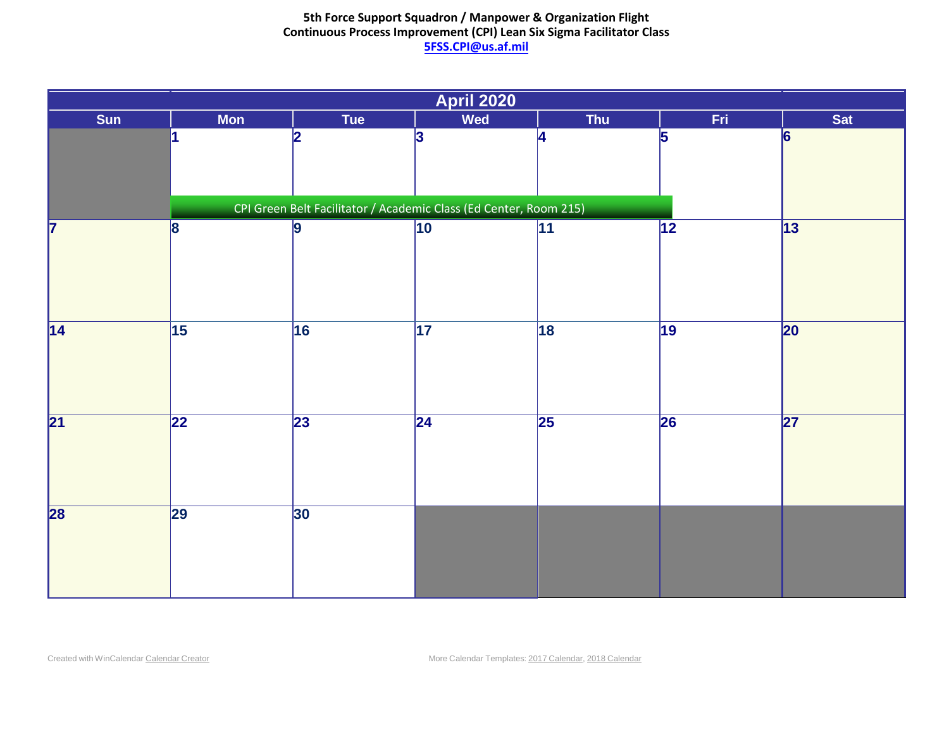| <b>April 2020</b> |                 |                 |                                                                           |                 |                 |                 |  |  |
|-------------------|-----------------|-----------------|---------------------------------------------------------------------------|-----------------|-----------------|-----------------|--|--|
| Sun               | <b>Mon</b>      | Tue             | Wed                                                                       | Thu             | Fri             | Sat             |  |  |
|                   |                 |                 |                                                                           | 2               | $\vert$ 3       | 4               |  |  |
| $\overline{5}$    | $\overline{6}$  | 17              | $\overline{8}$                                                            | 9               | $ 10\rangle$    | $\overline{11}$ |  |  |
| $\overline{12}$   | $\sqrt{13}$     | $\overline{14}$ | $\sqrt{15}$<br>CPI Lean Six Sigma Facilitator Class (Ed Center, Room 215) | 16              | $\overline{17}$ | 18              |  |  |
| $\overline{19}$   | 20              | $\overline{21}$ | $\overline{22}$                                                           | $\overline{23}$ | $\overline{24}$ | $\overline{25}$ |  |  |
| 26                | $\overline{27}$ | 28              | $\overline{29}$                                                           | 30              |                 |                 |  |  |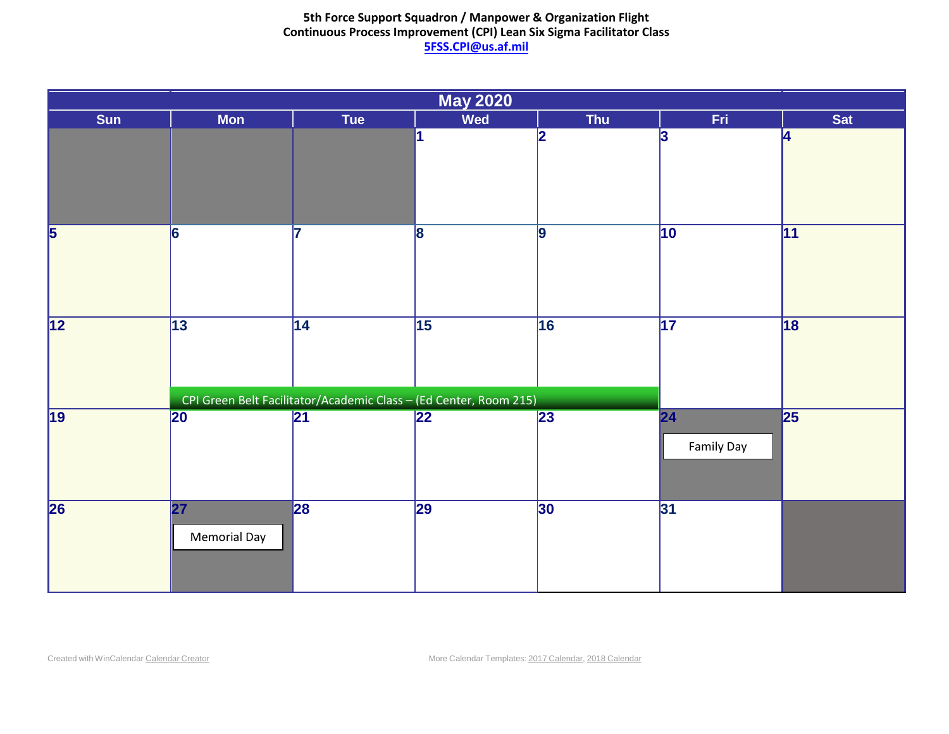| <b>May 2020</b>         |                                                 |                                                                               |                 |                 |                         |                 |  |  |
|-------------------------|-------------------------------------------------|-------------------------------------------------------------------------------|-----------------|-----------------|-------------------------|-----------------|--|--|
| Sun                     | <b>Mon</b>                                      | Tue                                                                           | Wed             | Thu             | Fri                     | Sat             |  |  |
|                         |                                                 |                                                                               |                 |                 | 1                       | 12              |  |  |
| $\overline{\mathbf{3}}$ | 4                                               | 5                                                                             | $\vert 6 \vert$ |                 | 8                       | $\vert 9 \vert$ |  |  |
| $\overline{10}$         | $\overline{11}$                                 | $\overline{12}$                                                               | $\overline{13}$ | 14              | $\overline{15}$         | 16              |  |  |
| $\overline{17}$         | 18                                              | $\overline{19}$<br>CPI Lean Six Sigma Facilitator Class (Ed Center, Room 215) | $\overline{20}$ | $\overline{21}$ | 22<br><b>Family Day</b> | 23              |  |  |
| 24/31                   | $\overline{\mathbf{25}}$<br><b>Memorial Day</b> | 26                                                                            | $\overline{27}$ | 28              | $\overline{29}$         | 30              |  |  |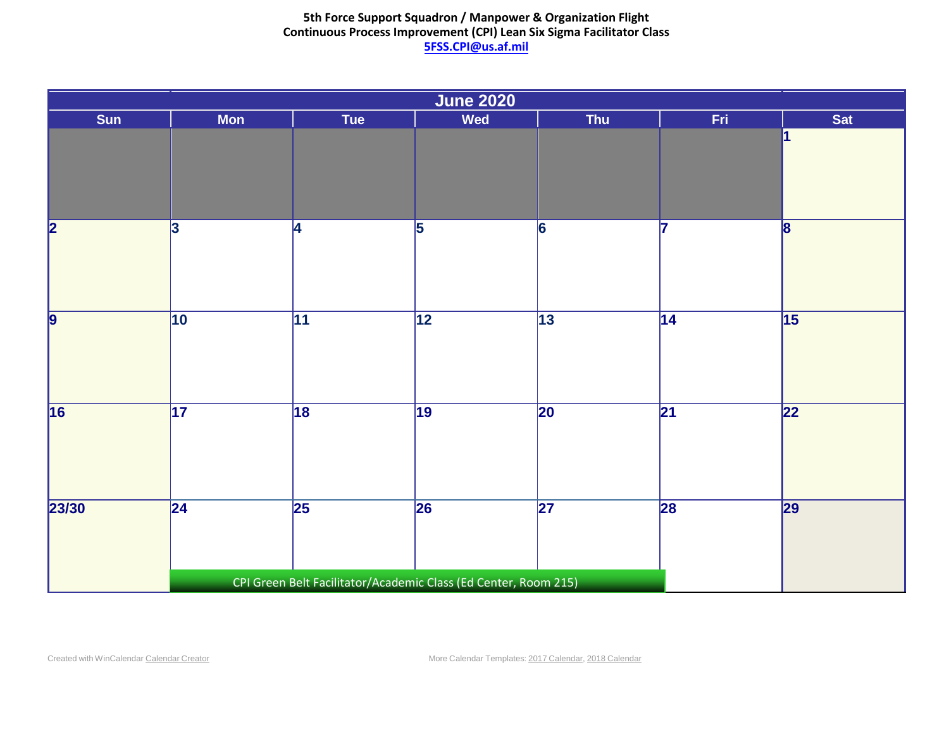| <b>June 2020</b>        |                 |                 |                                                                               |                         |                 |                 |  |  |
|-------------------------|-----------------|-----------------|-------------------------------------------------------------------------------|-------------------------|-----------------|-----------------|--|--|
| Sun                     | <b>Mon</b>      | Tue             | <b>Wed</b>                                                                    | Thu                     | Fri.            | Sat             |  |  |
|                         | $\overline{1}$  | 2               | $\overline{3}$                                                                | $\overline{\mathbf{4}}$ | $\overline{5}$  | 6               |  |  |
| $\overline{\mathbf{z}}$ | $\overline{8}$  | $\overline{9}$  | $\overline{10}$                                                               | $\overline{11}$         | $\overline{12}$ | $\sqrt{13}$     |  |  |
| $\overline{14}$         | $\sqrt{15}$     | 16              | $\overline{17}$<br>CPI Lean Six Sigma Facilitator Class (Ed Center, Room 215) | 18                      | $\overline{19}$ | $\overline{20}$ |  |  |
| $\overline{21}$         | $\overline{22}$ | $\overline{23}$ | $\overline{24}$                                                               | $\overline{25}$         | 26              | $\overline{27}$ |  |  |
| $\overline{28}$         | $\overline{29}$ | 30              |                                                                               |                         |                 |                 |  |  |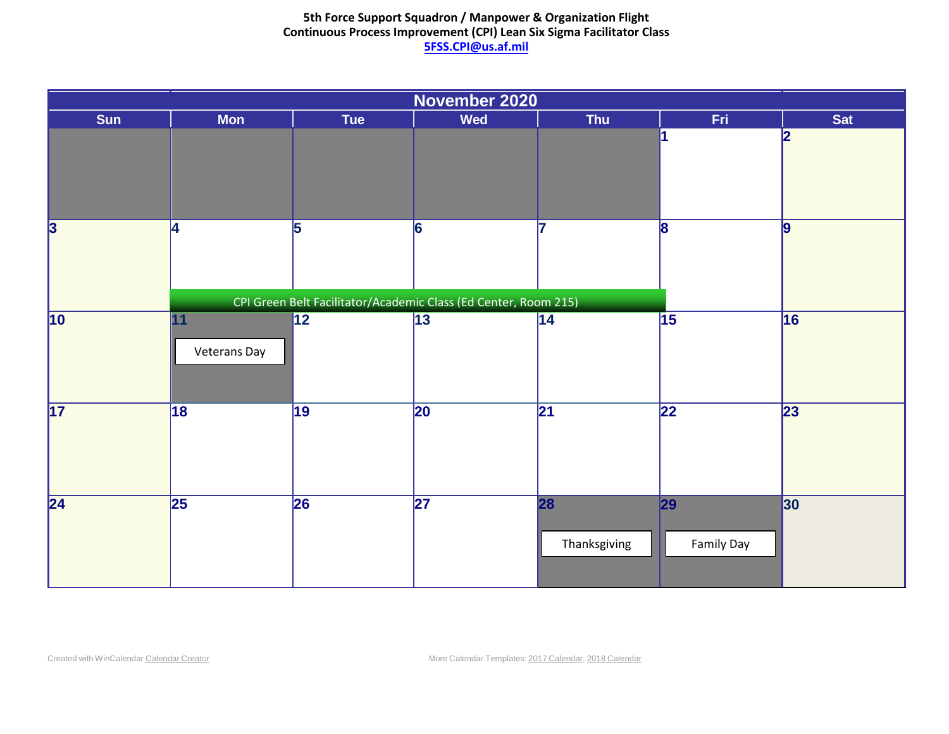| November 2020           |             |                 |                                                            |                 |                 |                 |  |  |
|-------------------------|-------------|-----------------|------------------------------------------------------------|-----------------|-----------------|-----------------|--|--|
| Sun                     | <b>Mon</b>  | Tue             | <b>Wed</b>                                                 | Thu             | Fri             | Sat             |  |  |
| $\overline{\mathbf{1}}$ | 2           | 3               | $\overline{4}$                                             | 5               | 6               |                 |  |  |
| $\overline{\mathbf{8}}$ | 9           | $\overline{10}$ | $\overline{11}$<br><b>Veterans Day</b>                     | $\overline{12}$ | $\overline{13}$ | $\vert$ 14      |  |  |
| 15                      | 16          | $\overline{17}$ | 18                                                         | $\overline{19}$ | $\overline{20}$ | $\overline{21}$ |  |  |
| $\overline{22}$         |             |                 | CPI Lean Six Sigma Facilitator Class (Ed Center, Room 215) | 26              | 27              | 28              |  |  |
|                         | $\sqrt{23}$ | 24              | $\overline{25}$                                            | Thanksgiving    | Family Day      |                 |  |  |
| 29                      | 30          |                 |                                                            |                 |                 |                 |  |  |